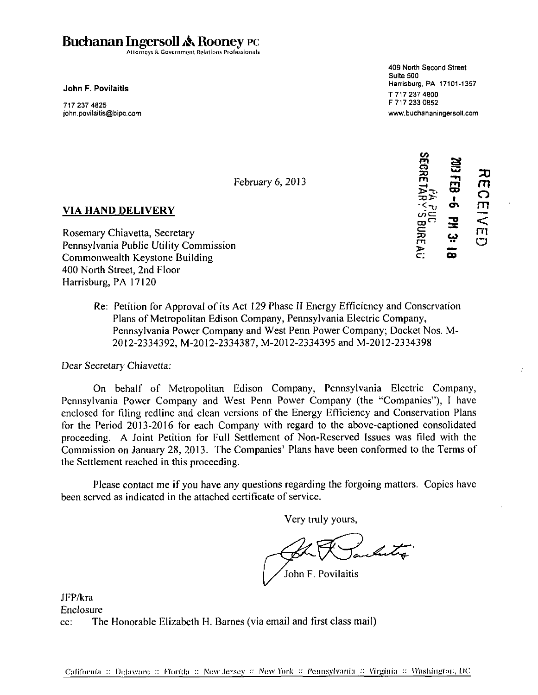# Buchanan Ingersoll & Rooney PC

Attorneys & Government Relations Professionals

john.povilaitis@bipc.com www.buchananingersoll.com

409 North Second Street Suite 500 . . \_ \_ .... . Harrisburg, PA 17101-1357 John F. Povilaitis \* F 717 233 0852 717237 4825 F7172330852

RECEIVED<br>2003 FEB -6 PM 3: 1<br>3EGRETARY'S BUREA

**February 6,2013 m fH** 

#### VIA HAND DELIVERY

VIA HAND DELIVERY<br>
Rosemary Chiavetta, Secretary<br>
Rosemary Chiavetta, Secretary<br>
Poppey Vanis Littlity Commission Pennsylvania Public Utility Commission Commonwealth Keystone Building  $\mathbf{c}$  ;  $\mathbf{a}$  of  $\mathbf{c}$  is a distance of  $\mathbf{c}$  is a distance of  $\mathbf{c}$  is a distance of  $\mathbf{a}$ 400 North Street, 2nd Floor Harrisburg, PA 17120

Re: Petition for Approval of its Act 129 Phase II Energy Efficiency and Conservation Plans of Metropolitan Edison Company, Pennsylvania Electric Company, Pennsylvania Power Company and West Penn Power Company; Docket Nos. M-2012-2334392, M-2012-2334387, M-2012-2334395 and M-2012-2334398

Dear Secretary Chiavetta:

On behalf of Metropolitan Edison Company, Pennsylvania Electric Company, Pennsylvania Power Company and West Penn Power Company (the "Companies"), I have enclosed for filing redline and clean versions of the Energy Efficiency and Conservation Plans for the Period 2013-2016 for each Company with regard to the above-captioned consolidated proceeding. A Joint Petition for Full Settlement of Non-Reserved Issues was filed with the Commission on January 28, 2013. The Companies' Plans have been conformed to the Terms of the Settlement reached in this proceeding.

Please contact me if you have any questions regarding the forgoing matters. Copies have been served as indicated in the attached certificate of service.

Very truly yours,

Litra

John F. Povilaitis

JFP/kra Enclosure cc: The Honorable Elizabeth H. Barnes (via email and first class mail)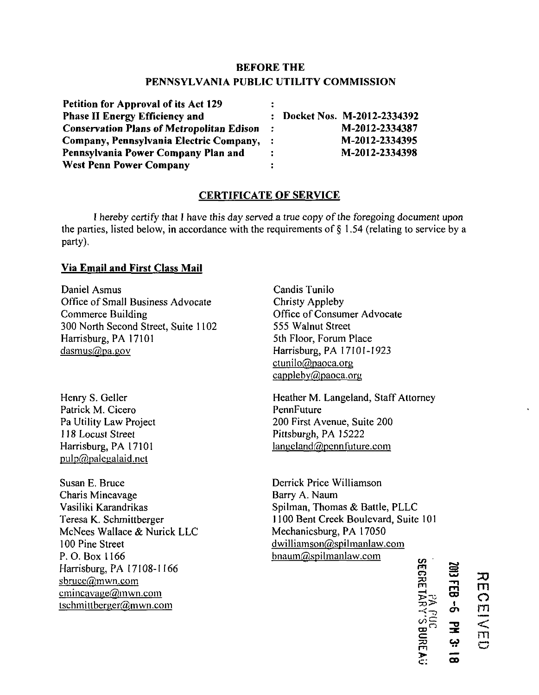# **BEFORE THE PENNSYLVANIA PUBLIC UTILITY COMMISSION**

| Petition for Approval of its Act 129             |    |                              |
|--------------------------------------------------|----|------------------------------|
| <b>Phase II Energy Efficiency and</b>            |    | : Docket Nos. M-2012-2334392 |
| <b>Conservation Plans of Metropolitan Edison</b> | ÷. | M-2012-2334387               |
| Company, Pennsylvania Electric Company,          |    | M-2012-2334395               |
| Pennsylvania Power Company Plan and              | ÷. | M-2012-2334398               |
| <b>West Penn Power Company</b>                   |    |                              |

## **CERTIFICATE OF SERVICE**

I hereby certify that I have this day served a true copy of the foregoing document upon the parties, listed below, in accordance with the requirements of  $\S$  1.54 (relating to service by a party).

## **Via Email and First Class Mail**

Daniel Asmus Office of Small Business Advocate Commerce Building 300 North Second Street, Suite 1102 Harrisburg, PA 17101 dasmus@pa.gov

Henry S. Geller Patrick M. Cicero Pa Utility Law Project 118 Locust Street Harrisburg, PA 17101  $pulp(θ)$ palegalaid.net

Susan E. Bruce Charis Mincavage Vasiliki Karandrikas Teresa K. Schmittberger McNees Wallace & Nurick LLC 100 Pine Street P. 0. Box 1166 Harrisburg, PA 17108-1166 sbruce@mwn.com  $emincavage@mwn.com$ tschmittberger@mwn.com

Candis Tunilo Christy Appleby Office of Consumer Advocate 555 Walnut Street 5th Floor, Forum Place Harrisburg, PA 17101-1923 ctunilo@paoca.org capplebv@paoca.oru

Heather M. Langeland, Staff Attorney **PennFuture** 200 First Avenue, Suite 200 Pittsburgh, PA 15222  $langeland@pennfuture.com$ 

Derrick Price Williamson Barry A. Naum Spilman, Thomas & Battle, PLLC 1100 Bent Creek Boulevard, Suite 101 Mechanicsburg, PA 17050 dwilliamson@spilmanlaw.com  $b$ naum@spilmanlaw.com

**m o**   $\cong$ *UJ*  높. **m > c: GO I**   $\ddot{\phantom{0}}$ **=E CO a \* oo** 

**m o rn** 

**< m o**